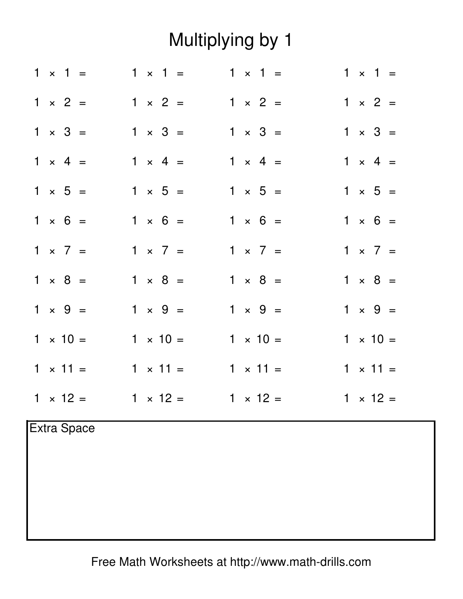## Multiplying by 1

|                    | $1 \times 1 =$  | $1 \times 1 =$  | $1 \times 1 =$  | $1 \times 1 =$  |  |
|--------------------|-----------------|-----------------|-----------------|-----------------|--|
|                    | $1 \times 2 =$  | $1 \times 2 =$  | $1 \times 2 =$  | $1 \times 2 =$  |  |
|                    | $1 \times 3 =$  | $1 \times 3 =$  | $1 \times 3 =$  | $1 \times 3 =$  |  |
|                    | $1 \times 4 =$  | $1 \times 4 =$  | $1 \times 4 =$  | $1 \times 4 =$  |  |
|                    | $1 \times 5 =$  | $1 \times 5 =$  | $1 \times 5 =$  | $1 \times 5 =$  |  |
|                    | $1 \times 6 =$  | $1 \times 6 =$  | $1 \times 6 =$  | $1 \times 6 =$  |  |
|                    | $1 \times 7 =$  | $1 \times 7 =$  | $1 \times 7 =$  | $1 \times 7 =$  |  |
|                    | $1 \times 8 =$  | $1 \times 8 =$  | $1 \times 8 =$  | $1 \times 8 =$  |  |
|                    | $1 \times 9 =$  | $1 \times 9 =$  | $1 \times 9 =$  | $1 \times 9 =$  |  |
|                    | $1 \times 10 =$ | $1 \times 10 =$ | $1 \times 10 =$ | $1 \times 10 =$ |  |
|                    | $1 \times 11 =$ | $1 \times 11 =$ | $1 \times 11 =$ | $1 \times 11 =$ |  |
|                    | $1 \times 12 =$ | $1 \times 12 =$ | $1 \times 12 =$ | $1 \times 12 =$ |  |
| <b>Extra Space</b> |                 |                 |                 |                 |  |
|                    |                 |                 |                 |                 |  |

Free Math Worksheets at http://www.math-drills.com